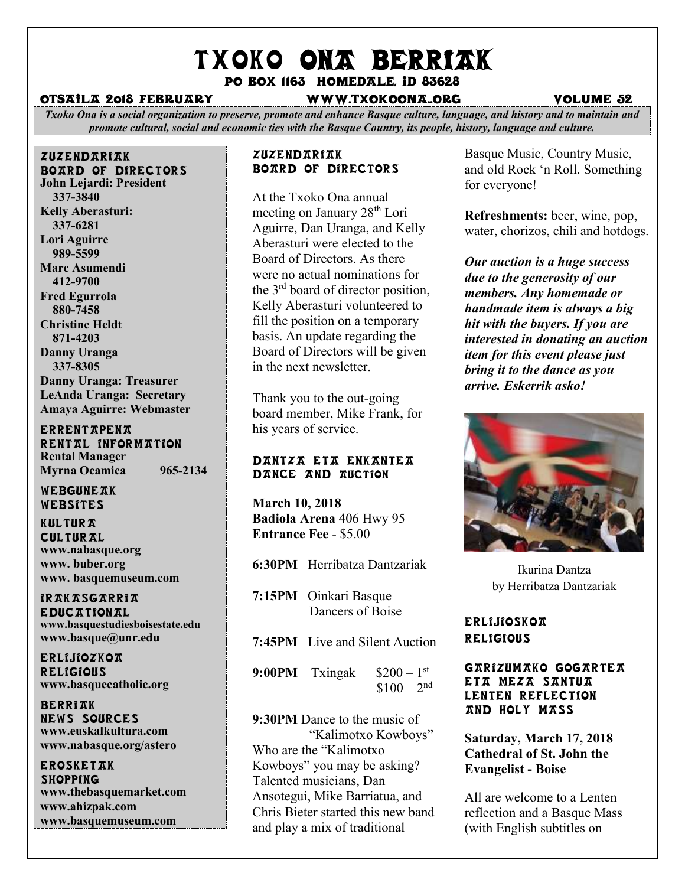# TXOKO ONA BERRIAK

Po box 1163 homedale, id 83628

#### otsaila 2018 February www.txokoona..org volume 52

*Txoko Ona is a social organization to preserve, promote and enhance Basque culture, language, and history and to maintain and promote cultural, social and economic ties with the Basque Country, its people, history, language and culture.*

zuzendariak board of directors **John Lejardi: President 337-3840 Kelly Aberasturi: 337-6281 Lori Aguirre 989-5599 Marc Asumendi 412-9700 Fred Egurrola 880-7458 Christine Heldt 871-4203 Danny Uranga 337-8305 Danny Uranga: Treasurer LeAnda Uranga: Secretary Amaya Aguirre: Webmaster**

**ERRENTAPENA** RENTAL INFORMATION **Rental Manager Myrna Ocamica 965-2134**

WEBGUNEAK Websites

**KULTURA CULTURAL www.nabasque.org www. buber.org www. basquemuseum.com** 

irakasgarria EDIIC TTIONAL **www.basquestudiesboisestate.edu www.basque@unr.edu**

**ERLIJIOZKOA RELIGIOUS www.basquecatholic.org**

**BERRIAK** news sources **www.euskalkultura.com www.nabasque.org/astero**

erosketak **SHOPPING www.thebasquemarket.com www.ahizpak.com www.basquemuseum.com**

#### **ZUZENDARIAK** Board of Directors

At the Txoko Ona annual meeting on January 28<sup>th</sup> Lori Aguirre, Dan Uranga, and Kelly Aberasturi were elected to the Board of Directors. As there were no actual nominations for the 3<sup>rd</sup> board of director position, Kelly Aberasturi volunteered to fill the position on a temporary basis. An update regarding the Board of Directors will be given in the next newsletter.

Thank you to the out-going board member, Mike Frank, for his years of service.

#### Dantza eta enkantea DANCE AND AUCTION

**March 10, 2018 Badiola Arena** 406 Hwy 95 **Entrance Fee** - \$5.00

- **6:30PM** Herribatza Dantzariak
- **7:15PM** Oinkari Basque Dancers of Boise
- **7:45PM** Live and Silent Auction
- **9:00PM** Txingak  $\$200 - 1$ <sup>st</sup>  $$100 - 2<sup>nd</sup>$

**9:30PM** Dance to the music of "Kalimotxo Kowboys" Who are the "Kalimotxo Kowboys" you may be asking? Talented musicians, Dan Ansotegui, Mike Barriatua, and Chris Bieter started this new band and play a mix of traditional

Basque Music, Country Music, and old Rock 'n Roll. Something for everyone!

**Refreshments:** beer, wine, pop, water, chorizos, chili and hotdogs.

*Our auction is a huge success due to the generosity of our members. Any homemade or handmade item is always a big hit with the buyers. If you are interested in donating an auction item for this event please just bring it to the dance as you arrive. Eskerrik asko!*



Ikurina Dantza by Herribatza Dantzariak

# **ERLIJIOSKOA RELIGIOUS**

#### Garizumako Gogartea Eta Meza Santua Lenten Reflection and Holy Mass

# **Saturday, March 17, 2018 Cathedral of St. John the Evangelist - Boise**

All are welcome to a Lenten reflection and a Basque Mass (with English subtitles on